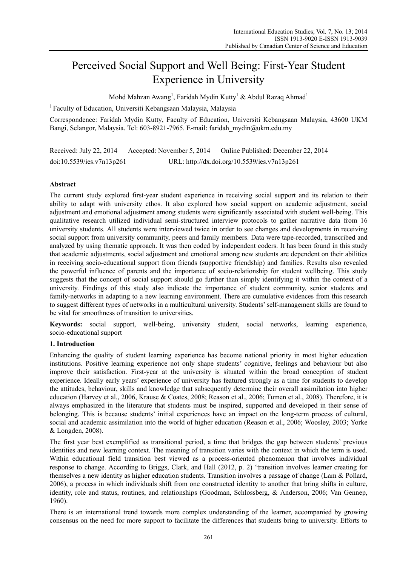# Perceived Social Support and Well Being: First-Year Student Experience in University

Mohd Mahzan Awang<sup>1</sup>, Faridah Mydin Kutty<sup>1</sup> & Abdul Razaq Ahmad<sup>1</sup>

1 Faculty of Education, Universiti Kebangsaan Malaysia, Malaysia

Correspondence: Faridah Mydin Kutty, Faculty of Education, Universiti Kebangsaan Malaysia, 43600 UKM Bangi, Selangor, Malaysia. Tel: 603-8921-7965. E-mail: faridah\_mydin@ukm.edu.my

Received: July 22, 2014 Accepted: November 5, 2014 Online Published: December 22, 2014 doi:10.5539/ies.v7n13p261 URL: http://dx.doi.org/10.5539/ies.v7n13p261

# **Abstract**

The current study explored first-year student experience in receiving social support and its relation to their ability to adapt with university ethos. It also explored how social support on academic adjustment, social adjustment and emotional adjustment among students were significantly associated with student well-being. This qualitative research utilized individual semi-structured interview protocols to gather narrative data from 16 university students. All students were interviewed twice in order to see changes and developments in receiving social support from university community, peers and family members. Data were tape-recorded, transcribed and analyzed by using thematic approach. It was then coded by independent coders. It has been found in this study that academic adjustments, social adjustment and emotional among new students are dependent on their abilities in receiving socio-educational support from friends (supportive friendship) and families. Results also revealed the powerful influence of parents and the importance of socio-relationship for student wellbeing. This study suggests that the concept of social support should go further than simply identifying it within the context of a university. Findings of this study also indicate the importance of student community, senior students and family-networks in adapting to a new learning environment. There are cumulative evidences from this research to suggest different types of networks in a multicultural university. Students' self-management skills are found to be vital for smoothness of transition to universities.

**Keywords:** social support, well-being, university student, social networks, learning experience, socio-educational support

## **1. Introduction**

Enhancing the quality of student learning experience has become national priority in most higher education institutions. Positive learning experience not only shape students' cognitive, feelings and behaviour but also improve their satisfaction. First-year at the university is situated within the broad conception of student experience. Ideally early years' experience of university has featured strongly as a time for students to develop the attitudes, behaviour, skills and knowledge that subsequently determine their overall assimilation into higher education (Harvey et al., 2006, Krause & Coates, 2008; Reason et al., 2006; Tumen et al., 2008). Therefore, it is always emphasized in the literature that students must be inspired, supported and developed in their sense of belonging. This is because students' initial experiences have an impact on the long-term process of cultural, social and academic assimilation into the world of higher education (Reason et al., 2006; Woosley, 2003; Yorke & Longden, 2008).

The first year best exemplified as transitional period, a time that bridges the gap between students' previous identities and new learning context. The meaning of transition varies with the context in which the term is used. Within educational field transition best viewed as a process-oriented phenomenon that involves individual response to change. According to Briggs, Clark, and Hall (2012, p. 2) 'transition involves learner creating for themselves a new identity as higher education students. Transition involves a passage of change (Lam & Pollard, 2006), a process in which individuals shift from one constructed identity to another that bring shifts in culture, identity, role and status, routines, and relationships (Goodman, Schlossberg, & Anderson, 2006; Van Gennep, 1960).

There is an international trend towards more complex understanding of the learner, accompanied by growing consensus on the need for more support to facilitate the differences that students bring to university. Efforts to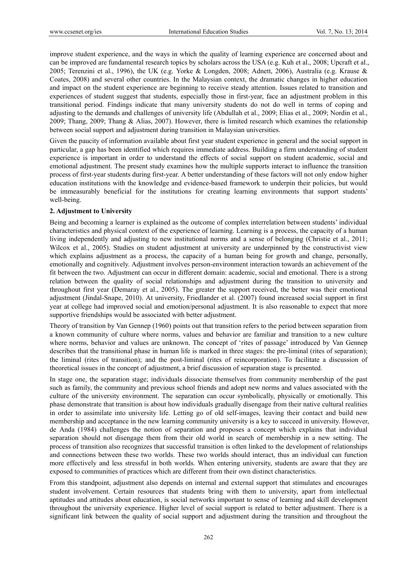improve student experience, and the ways in which the quality of learning experience are concerned about and can be improved are fundamental research topics by scholars across the USA (e.g. Kuh et al., 2008; Upcraft et al., 2005; Terenzini et al., 1996), the UK (e.g. Yorke & Longden, 2008; Adnett, 2006), Australia (e.g. Krause & Coates, 2008) and several other countries. In the Malaysian context, the dramatic changes in higher education and impact on the student experience are beginning to receive steady attention. Issues related to transition and experiences of student suggest that students, especially those in first-year, face an adjustment problem in this transitional period. Findings indicate that many university students do not do well in terms of coping and adjusting to the demands and challenges of university life (Abdullah et al., 2009; Elias et al., 2009; Nordin et al., 2009; Thang, 2009; Thang & Alias, 2007). However, there is limited research which examines the relationship between social support and adjustment during transition in Malaysian universities.

Given the paucity of information available about first year student experience in general and the social support in particular, a gap has been identified which requires immediate address. Building a firm understanding of student experience is important in order to understand the effects of social support on student academic, social and emotional adjustment. The present study examines how the multiple supports interact to influence the transition process of first-year students during first-year. A better understanding of these factors will not only endow higher education institutions with the knowledge and evidence-based framework to underpin their policies, but would be immeasurably beneficial for the institutions for creating learning environments that support students' well-being.

## **2. Adjustment to University**

Being and becoming a learner is explained as the outcome of complex interrelation between students' individual characteristics and physical context of the experience of learning. Learning is a process, the capacity of a human living independently and adjusting to new institutional norms and a sense of belonging (Christie et al., 2011; Wilcox et al., 2005). Studies on student adjustment at university are underpinned by the constructivist view which explains adjustment as a process, the capacity of a human being for growth and change, personally, emotionally and cognitively. Adjustment involves person-environment interaction towards an achievement of the fit between the two. Adjustment can occur in different domain: academic, social and emotional. There is a strong relation between the quality of social relationships and adjustment during the transition to university and throughout first year (Demaray et al., 2005). The greater the support received, the better was their emotional adjustment (Jindal-Snape, 2010). At university, Friedlander et al. (2007) found increased social support in first year at college had improved social and emotion/personal adjustment. It is also reasonable to expect that more supportive friendships would be associated with better adjustment.

Theory of transition by Van Gennep (1960) points out that transition refers to the period between separation from a known community of culture where norms, values and behavior are familiar and transition to a new culture where norms, behavior and values are unknown. The concept of 'rites of passage' introduced by Van Gennep describes that the transitional phase in human life is marked in three stages: the pre-liminal (rites of separation); the liminal (rites of transition); and the post-liminal (rites of reincorporation). To facilitate a discussion of theoretical issues in the concept of adjustment, a brief discussion of separation stage is presented.

In stage one, the separation stage; individuals dissociate themselves from community membership of the past such as family, the community and previous school friends and adopt new norms and values associated with the culture of the university environment. The separation can occur symbolically, physically or emotionally. This phase demonstrate that transition is about how individuals gradually disengage from their native cultural realities in order to assimilate into university life. Letting go of old self-images, leaving their contact and build new membership and acceptance in the new learning community university is a key to succeed in university. However, de Anda (1984) challenges the notion of separation and proposes a concept which explains that individual separation should not disengage them from their old world in search of membership in a new setting. The process of transition also recognizes that successful transition is often linked to the development of relationships and connections between these two worlds. These two worlds should interact, thus an individual can function more effectively and less stressful in both worlds. When entering university, students are aware that they are exposed to communities of practices which are different from their own distinct characteristics.

From this standpoint, adjustment also depends on internal and external support that stimulates and encourages student involvement. Certain resources that students bring with them to university, apart from intellectual aptitudes and attitudes about education, is social networks important to sense of learning and skill development throughout the university experience. Higher level of social support is related to better adjustment. There is a significant link between the quality of social support and adjustment during the transition and throughout the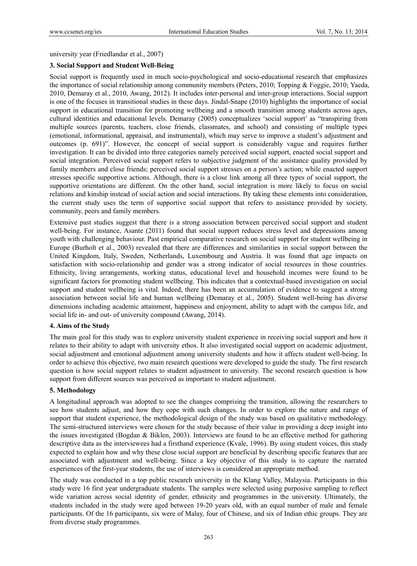university year (Friedlandar et al., 2007)

## **3. Social Support and Student Well-Being**

Social support is frequently used in much socio-psychological and socio-educational research that emphasizes the importance of social relationship among community members (Peters, 2010; Topping & Foggie, 2010; Yaeda, 2010, Demaray et al., 2010, Awang, 2012). It includes inter-personal and inter-group interactions. Social support is one of the focuses in transitional studies in these days. Jindal-Snape (2010) highlights the importance of social support in educational transition for promoting wellbeing and a smooth transition among students across ages, cultural identities and educational levels. Demaray (2005) conceptualizes 'social support' as "transpiring from multiple sources (parents, teachers, close friends, classmates, and school) and consisting of multiple types (emotional, informational, appraisal, and instrumental), which may serve to improve a student's adjustment and outcomes (p. 691)". However, the concept of social support is considerably vague and requires further investigation. It can be divided into three categories namely perceived social support, enacted social support and social integration. Perceived social support refers to subjective judgment of the assistance quality provided by family members and close friends; perceived social support stresses on a person's action; while enacted support stresses specific supportive actions. Although, there is a close link among all three types of social support, the supportive orientations are different. On the other hand, social integration is more likely to focus on social relations and kinship instead of social action and social interactions. By taking these elements into consideration, the current study uses the term of supportive social support that refers to assistance provided by society, community, peers and family members.

Extensive past studies suggest that there is a strong association between perceived social support and student well-being. For instance, Asante (2011) found that social support reduces stress level and depressions among youth with challenging behaviour. Past empirical comparative research on social support for student wellbeing in Europe (Burholt et al., 2003) revealed that there are differences and similarities in social support between the United Kingdom, Italy, Sweden, Netherlands, Luxembourg and Austria. It was found that age impacts on satisfaction with socio-relationship and gender was a strong indicator of social resources in those countries. Ethnicity, living arrangements, working status, educational level and household incomes were found to be significant factors for promoting student wellbeing. This indicates that a contextual-based investigation on social support and student wellbeing is vital. Indeed, there has been an accumulation of evidence to suggest a strong association between social life and human wellbeing (Demaray et al., 2005). Student well-being has diverse dimensions including academic attainment, happiness and enjoyment, ability to adapt with the campus life, and social life in- and out- of university compound (Awang, 2014).

## **4. Aims of the Study**

The main goal for this study was to explore university student experience in receiving social support and how it relates to their ability to adapt with university ethos. It also investigated social support on academic adjustment, social adjustment and emotional adjustment among university students and how it affects student well-being. In order to achieve this objective, two main research questions were developed to guide the study. The first research question is how social support relates to student adjustment to university. The second research question is how support from different sources was perceived as important to student adjustment.

## **5. Methodology**

A longitudinal approach was adopted to see the changes comprising the transition, allowing the researchers to see how students adjust, and how they cope with such changes. In order to explore the nature and range of support that student experience, the methodological design of the study was based on qualitative methodology. The semi-structured interviews were chosen for the study because of their value in providing a deep insight into the issues investigated (Bogdan & Biklen, 2003). Interviews are found to be an effective method for gathering descriptive data as the interviewees had a firsthand experience (Kvale, 1996). By using student voices, this study expected to explain how and why these close social support are beneficial by describing specific features that are associated with adjustment and well-being. Since a key objective of this study is to capture the narrated experiences of the first-year students, the use of interviews is considered an appropriate method.

The study was conducted in a top public research university in the Klang Valley, Malaysia. Participants in this study were 16 first year undergraduate students. The samples were selected using purposive sampling to reflect wide variation across social identity of gender, ethnicity and programmes in the university. Ultimately, the students included in the study were aged between 19-20 years old, with an equal number of male and female participants. Of the 16 participants, six were of Malay, four of Chinese, and six of Indian ethic groups. They are from diverse study programmes.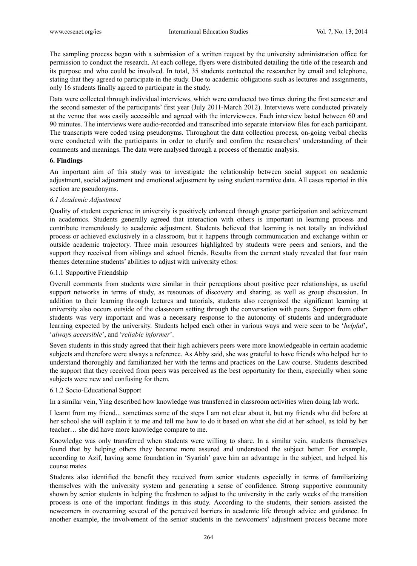The sampling process began with a submission of a written request by the university administration office for permission to conduct the research. At each college, flyers were distributed detailing the title of the research and its purpose and who could be involved. In total, 35 students contacted the researcher by email and telephone, stating that they agreed to participate in the study. Due to academic obligations such as lectures and assignments, only 16 students finally agreed to participate in the study.

Data were collected through individual interviews, which were conducted two times during the first semester and the second semester of the participants' first year (July 2011-March 2012). Interviews were conducted privately at the venue that was easily accessible and agreed with the interviewees. Each interview lasted between 60 and 90 minutes. The interviews were audio-recorded and transcribed into separate interview files for each participant. The transcripts were coded using pseudonyms. Throughout the data collection process, on-going verbal checks were conducted with the participants in order to clarify and confirm the researchers' understanding of their comments and meanings. The data were analysed through a process of thematic analysis.

## **6. Findings**

An important aim of this study was to investigate the relationship between social support on academic adjustment, social adjustment and emotional adjustment by using student narrative data. All cases reported in this section are pseudonyms.

# *6.1 Academic Adjustment*

Quality of student experience in university is positively enhanced through greater participation and achievement in academics. Students generally agreed that interaction with others is important in learning process and contribute tremendously to academic adjustment. Students believed that learning is not totally an individual process or achieved exclusively in a classroom, but it happens through communication and exchange within or outside academic trajectory. Three main resources highlighted by students were peers and seniors, and the support they received from siblings and school friends. Results from the current study revealed that four main themes determine students' abilities to adjust with university ethos:

# 6.1.1 Supportive Friendship

Overall comments from students were similar in their perceptions about positive peer relationships, as useful support networks in terms of study, as resources of discovery and sharing, as well as group discussion. In addition to their learning through lectures and tutorials, students also recognized the significant learning at university also occurs outside of the classroom setting through the conversation with peers. Support from other students was very important and was a necessary response to the autonomy of students and undergraduate learning expected by the university. Students helped each other in various ways and were seen to be '*helpful*', '*always accessible*', and '*reliable informer*'.

Seven students in this study agreed that their high achievers peers were more knowledgeable in certain academic subjects and therefore were always a reference. As Abby said, she was grateful to have friends who helped her to understand thoroughly and familiarized her with the terms and practices on the Law course. Students described the support that they received from peers was perceived as the best opportunity for them, especially when some subjects were new and confusing for them.

## 6.1.2 Socio-Educational Support

In a similar vein, Ying described how knowledge was transferred in classroom activities when doing lab work.

I learnt from my friend... sometimes some of the steps I am not clear about it, but my friends who did before at her school she will explain it to me and tell me how to do it based on what she did at her school, as told by her teacher… she did have more knowledge compare to me.

Knowledge was only transferred when students were willing to share. In a similar vein, students themselves found that by helping others they became more assured and understood the subject better. For example, according to Azif, having some foundation in 'Syariah' gave him an advantage in the subject, and helped his course mates.

Students also identified the benefit they received from senior students especially in terms of familiarizing themselves with the university system and generating a sense of confidence. Strong supportive community shown by senior students in helping the freshmen to adjust to the university in the early weeks of the transition process is one of the important findings in this study. According to the students, their seniors assisted the newcomers in overcoming several of the perceived barriers in academic life through advice and guidance. In another example, the involvement of the senior students in the newcomers' adjustment process became more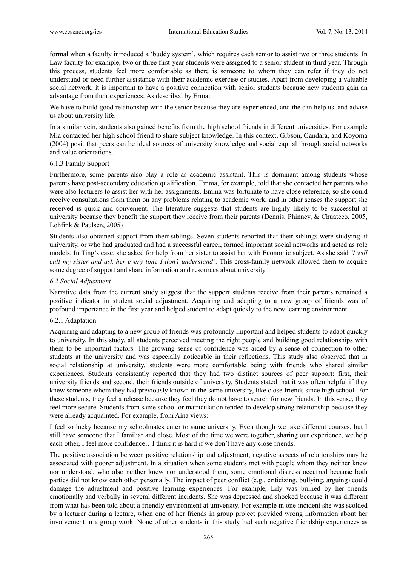formal when a faculty introduced a 'buddy system', which requires each senior to assist two or three students. In Law faculty for example, two or three first-year students were assigned to a senior student in third year. Through this process, students feel more comfortable as there is someone to whom they can refer if they do not understand or need further assistance with their academic exercise or studies. Apart from developing a valuable social network, it is important to have a positive connection with senior students because new students gain an advantage from their experiences: As described by Erma:

We have to build good relationship with the senior because they are experienced, and the can help us. and advise us about university life.

In a similar vein, students also gained benefits from the high school friends in different universities. For example Mia contacted her high school friend to share subject knowledge. In this context, Gibson, Gandara, and Koyoma (2004) posit that peers can be ideal sources of university knowledge and social capital through social networks and value orientations.

#### 6.1.3 Family Support

Furthermore, some parents also play a role as academic assistant. This is dominant among students whose parents have post-secondary education qualification. Emma, for example, told that she contacted her parents who were also lecturers to assist her with her assignments. Emma was fortunate to have close reference, so she could receive consultations from them on any problems relating to academic work, and in other senses the support she received is quick and convenient. The literature suggests that students are highly likely to be successful at university because they benefit the support they receive from their parents (Dennis, Phinney, & Chuateco, 2005, Lohfink & Paulsen, 2005)

Students also obtained support from their siblings. Seven students reported that their siblings were studying at university, or who had graduated and had a successful career, formed important social networks and acted as role models. In Ting's case, she asked for help from her sister to assist her with Economic subject. As she said *'I will call my sister and ask her every time I don't understand'*. This cross-family network allowed them to acquire some degree of support and share information and resources about university.

## *6.2 Social Adjustment*

Narrative data from the current study suggest that the support students receive from their parents remained a positive indicator in student social adjustment. Acquiring and adapting to a new group of friends was of profound importance in the first year and helped student to adapt quickly to the new learning environment.

## 6.2.1 Adaptation

Acquiring and adapting to a new group of friends was profoundly important and helped students to adapt quickly to university. In this study, all students perceived meeting the right people and building good relationships with them to be important factors. The growing sense of confidence was aided by a sense of connection to other students at the university and was especially noticeable in their reflections. This study also observed that in social relationship at university, students were more comfortable being with friends who shared similar experiences. Students consistently reported that they had two distinct sources of peer support: first, their university friends and second, their friends outside of university. Students stated that it was often helpful if they knew someone whom they had previously known in the same university, like close friends since high school. For these students, they feel a release because they feel they do not have to search for new friends. In this sense, they feel more secure. Students from same school or matriculation tended to develop strong relationship because they were already acquainted. For example, from Aina views:

I feel so lucky because my schoolmates enter to same university. Even though we take different courses, but I still have someone that I familiar and close. Most of the time we were together, sharing our experience, we help each other, I feel more confidence…I think it is hard if we don't have any close friends.

The positive association between positive relationship and adjustment, negative aspects of relationships may be associated with poorer adjustment. In a situation when some students met with people whom they neither knew nor understood, who also neither knew nor understood them, some emotional distress occurred because both parties did not know each other personally. The impact of peer conflict (e.g., criticizing, bullying, arguing) could damage the adjustment and positive learning experiences. For example, Lily was bullied by her friends emotionally and verbally in several different incidents. She was depressed and shocked because it was different from what has been told about a friendly environment at university. For example in one incident she was scolded by a lecturer during a lecture, when one of her friends in group project provided wrong information about her involvement in a group work. None of other students in this study had such negative friendship experiences as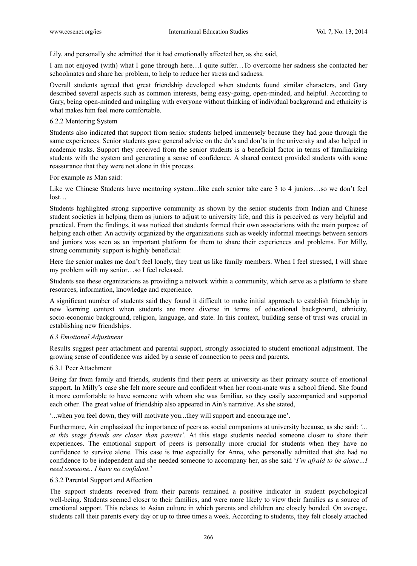Lily, and personally she admitted that it had emotionally affected her, as she said,

I am not enjoyed (with) what I gone through here…I quite suffer…To overcome her sadness she contacted her schoolmates and share her problem, to help to reduce her stress and sadness.

Overall students agreed that great friendship developed when students found similar characters, and Gary described several aspects such as common interests, being easy-going, open-minded, and helpful. According to Gary, being open-minded and mingling with everyone without thinking of individual background and ethnicity is what makes him feel more comfortable.

#### 6.2.2 Mentoring System

Students also indicated that support from senior students helped immensely because they had gone through the same experiences. Senior students gave general advice on the do's and don'ts in the university and also helped in academic tasks. Support they received from the senior students is a beneficial factor in terms of familiarizing students with the system and generating a sense of confidence. A shared context provided students with some reassurance that they were not alone in this process.

For example as Man said:

Like we Chinese Students have mentoring system...like each senior take care 3 to 4 juniors…so we don't feel lost…

Students highlighted strong supportive community as shown by the senior students from Indian and Chinese student societies in helping them as juniors to adjust to university life, and this is perceived as very helpful and practical. From the findings, it was noticed that students formed their own associations with the main purpose of helping each other. An activity organized by the organizations such as weekly informal meetings between seniors and juniors was seen as an important platform for them to share their experiences and problems. For Milly, strong community support is highly beneficial:

Here the senior makes me don't feel lonely, they treat us like family members. When I feel stressed, I will share my problem with my senior…so I feel released.

Students see these organizations as providing a network within a community, which serve as a platform to share resources, information, knowledge and experience.

A significant number of students said they found it difficult to make initial approach to establish friendship in new learning context when students are more diverse in terms of educational background, ethnicity, socio-economic background, religion, language, and state. In this context, building sense of trust was crucial in establishing new friendships.

## *6.3 Emotional Adjustment*

Results suggest peer attachment and parental support, strongly associated to student emotional adjustment. The growing sense of confidence was aided by a sense of connection to peers and parents.

#### 6.3.1 Peer Attachment

Being far from family and friends, students find their peers at university as their primary source of emotional support. In Milly's case she felt more secure and confident when her room-mate was a school friend. She found it more comfortable to have someone with whom she was familiar, so they easily accompanied and supported each other. The great value of friendship also appeared in Ain's narrative. As she stated,

'...when you feel down, they will motivate you...they will support and encourage me'.

Furthermore, Ain emphasized the importance of peers as social companions at university because, as she said: *'... at this stage friends are closer than parents'*. At this stage students needed someone closer to share their experiences. The emotional support of peers is personally more crucial for students when they have no confidence to survive alone. This case is true especially for Anna, who personally admitted that she had no confidence to be independent and she needed someone to accompany her, as she said '*I'm afraid to be alone…I need someone.. I have no confident.*'

## 6.3.2 Parental Support and Affection

The support students received from their parents remained a positive indicator in student psychological well-being. Students seemed closer to their families, and were more likely to view their families as a source of emotional support. This relates to Asian culture in which parents and children are closely bonded. On average, students call their parents every day or up to three times a week. According to students, they felt closely attached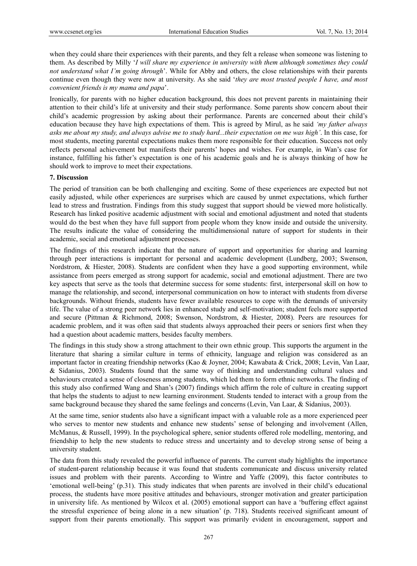when they could share their experiences with their parents, and they felt a release when someone was listening to them. As described by Milly '*I will share my experience in university with them although sometimes they could not understand what I'm going through*'. While for Abby and others, the close relationships with their parents continue even though they were now at university. As she said '*they are most trusted people I have, and most convenient friends is my mama and papa*'.

Ironically, for parents with no higher education background, this does not prevent parents in maintaining their attention to their child's life at university and their study performance. Some parents show concern about their child's academic progression by asking about their performance. Parents are concerned about their child's education because they have high expectations of them. This is agreed by Mirul, as he said *'my father always asks me about my study, and always advise me to study hard...their expectation on me was high'*. In this case, for most students, meeting parental expectations makes them more responsible for their education. Success not only reflects personal achievement but manifests their parents' hopes and wishes. For example, in Wan's case for instance, fulfilling his father's expectation is one of his academic goals and he is always thinking of how he should work to improve to meet their expectations.

## **7. Discussion**

The period of transition can be both challenging and exciting. Some of these experiences are expected but not easily adjusted, while other experiences are surprises which are caused by unmet expectations, which further lead to stress and frustration. Findings from this study suggest that support should be viewed more holistically. Research has linked positive academic adjustment with social and emotional adjustment and noted that students would do the best when they have full support from people whom they know inside and outside the university. The results indicate the value of considering the multidimensional nature of support for students in their academic, social and emotional adjustment processes.

The findings of this research indicate that the nature of support and opportunities for sharing and learning through peer interactions is important for personal and academic development (Lundberg, 2003; Swenson, Nordstrom, & Hiester, 2008). Students are confident when they have a good supporting environment, while assistance from peers emerged as strong support for academic, social and emotional adjustment. There are two key aspects that serve as the tools that determine success for some students: first, interpersonal skill on how to manage the relationship, and second, interpersonal communication on how to interact with students from diverse backgrounds. Without friends, students have fewer available resources to cope with the demands of university life. The value of a strong peer network lies in enhanced study and self-motivation; student feels more supported and secure (Pittman & Richmond, 2008; Swenson, Nordstrom, & Hiester, 2008). Peers are resources for academic problem, and it was often said that students always approached their peers or seniors first when they had a question about academic matters, besides faculty members.

The findings in this study show a strong attachment to their own ethnic group. This supports the argument in the literature that sharing a similar culture in terms of ethnicity, language and religion was considered as an important factor in creating friendship networks (Kao & Joyner, 2004; Kawabata & Crick, 2008; Levin, Van Laar, & Sidanius, 2003). Students found that the same way of thinking and understanding cultural values and behaviours created a sense of closeness among students, which led them to form ethnic networks. The finding of this study also confirmed Wang and Shan's (2007) findings which affirm the role of culture in creating support that helps the students to adjust to new learning environment. Students tended to interact with a group from the same background because they shared the same feelings and concerns (Levin, Van Laar, & Sidanius, 2003).

At the same time, senior students also have a significant impact with a valuable role as a more experienced peer who serves to mentor new students and enhance new students' sense of belonging and involvement (Allen, McManus, & Russell, 1999). In the psychological sphere, senior students offered role modelling, mentoring, and friendship to help the new students to reduce stress and uncertainty and to develop strong sense of being a university student.

The data from this study revealed the powerful influence of parents. The current study highlights the importance of student-parent relationship because it was found that students communicate and discuss university related issues and problem with their parents. According to Wintre and Yaffe (2009), this factor contributes to 'emotional well-being' (p.31). This study indicates that when parents are involved in their child's educational process, the students have more positive attitudes and behaviours, stronger motivation and greater participation in university life. As mentioned by Wilcox et al. (2005) emotional support can have a 'buffering effect against the stressful experience of being alone in a new situation' (p. 718). Students received significant amount of support from their parents emotionally. This support was primarily evident in encouragement, support and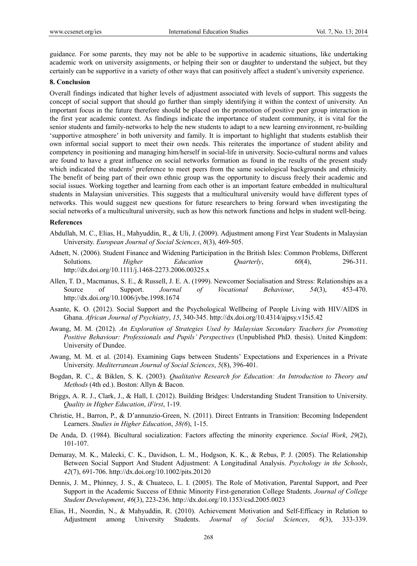guidance. For some parents, they may not be able to be supportive in academic situations, like undertaking academic work on university assignments, or helping their son or daughter to understand the subject, but they certainly can be supportive in a variety of other ways that can positively affect a student's university experience.

## **8. Conclusion**

Overall findings indicated that higher levels of adjustment associated with levels of support. This suggests the concept of social support that should go further than simply identifying it within the context of university. An important focus in the future therefore should be placed on the promotion of positive peer group interaction in the first year academic context. As findings indicate the importance of student community, it is vital for the senior students and family-networks to help the new students to adapt to a new learning environment, re-building 'supportive atmosphere' in both university and family. It is important to highlight that students establish their own informal social support to meet their own needs. This reiterates the importance of student ability and competency in positioning and managing him/herself in social-life in university. Socio-cultural norms and values are found to have a great influence on social networks formation as found in the results of the present study which indicated the students' preference to meet peers from the same sociological backgrounds and ethnicity. The benefit of being part of their own ethnic group was the opportunity to discuss freely their academic and social issues. Working together and learning from each other is an important feature embedded in multicultural students in Malaysian universities. This suggests that a multicultural university would have different types of networks. This would suggest new questions for future researchers to bring forward when investigating the social networks of a multicultural university, such as how this network functions and helps in student well-being.

#### **References**

- Abdullah, M. C., Elias, H., Mahyuddin, R., & Uli, J. (2009). Adjustment among First Year Students in Malaysian University. *European Journal of Social Sciences*, *8*(3), 469-505.
- Adnett, N. (2006). Student Finance and Widening Participation in the British Isles: Common Problems, Different Solutions. *Higher Education Quarterly*, *60*(4), 296-311. http://dx.doi.org/10.1111/j.1468-2273.2006.00325.x
- Allen, T. D., Macmanus, S. E., & Russell, J. E. A. (1999). Newcomer Socialisation and Stress: Relationships as a Source of Support. *Journal of Vocational Behaviour*, *54*(3), 453-470. http://dx.doi.org/10.1006/jvbe.1998.1674
- Asante, K. O. (2012). Social Support and the Psychological Wellbeing of People Living with HIV/AIDS in Ghana. *African Journal of Psychiatry*, *15*, 340-345. http://dx.doi.org/10.4314/ajpsy.v15i5.42
- Awang, M. M. (2012). *An Exploration of Strategies Used by Malaysian Secondary Teachers for Promoting Positive Behaviour: Professionals and Pupils' Perspectives* (Unpublished PhD. thesis). United Kingdom: University of Dundee.
- Awang, M. M. et al. (2014). Examining Gaps between Students' Expectations and Experiences in a Private University. *Mediterranean Journal of Social Sciences*, *5*(8), 396-401.
- Bogdan, R. C., & Biklen, S. K. (2003). *Qualitative Research for Education: An Introduction to Theory and Methods* (4th ed.). Boston: Allyn & Bacon.
- Briggs, A. R. J., Clark, J., & Hall, I. (2012). Building Bridges: Understanding Student Transition to University. *Quality in Higher Education*, *iFirst*, 1-19.
- Christie, H., Barron, P., & D'annunzio-Green, N. (2011). Direct Entrants in Transition: Becoming Independent Learners. *Studies in Higher Education*, *38(6*), 1-15.
- De Anda, D. (1984). Bicultural socialization: Factors affecting the minority experience. *Social Work*, *29*(2), 101-107.
- Demaray, M. K., Malecki, C. K., Davidson, L. M., Hodgson, K. K., & Rebus, P. J. (2005). The Relationship Between Social Support And Student Adjustment: A Longitudinal Analysis. *Psychology in the Schools*, *42*(7), 691-706. http://dx.doi.org/10.1002/pits.20120
- Dennis, J. M., Phinney, J. S., & Chuateco, L. I. (2005). The Role of Motivation, Parental Support, and Peer Support in the Academic Success of Ethnic Minority First-generation College Students. *Journal of College Student Development*, *46*(3), 223-236. http://dx.doi.org/10.1353/csd.2005.0023
- Elias, H., Noordin, N., & Mahyuddin, R. (2010). Achievement Motivation and Self-Efficacy in Relation to Adjustment among University Students. *Journal of Social Sciences*, *6*(3), 333-339.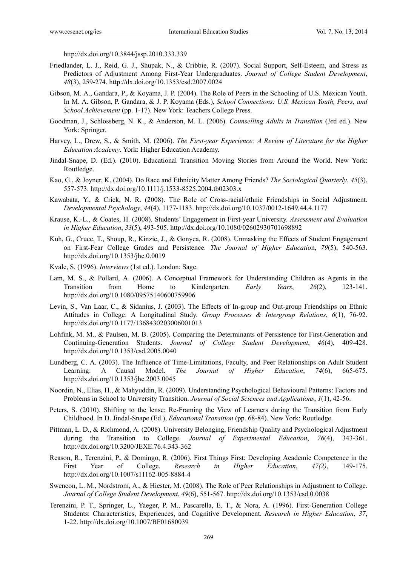http://dx.doi.org/10.3844/jssp.2010.333.339

- Friedlander, L. J., Reid, G. J., Shupak, N., & Cribbie, R. (2007). Social Support, Self-Esteem, and Stress as Predictors of Adjustment Among First-Year Undergraduates. *Journal of College Student Development*, *48*(3), 259-274. http://dx.doi.org/10.1353/csd.2007.0024
- Gibson, M. A., Gandara, P., & Koyama, J. P. (2004). The Role of Peers in the Schooling of U.S. Mexican Youth. In M. A. Gibson, P. Gandara, & J. P. Koyama (Eds.), *School Connections: U.S. Mexican Youth, Peers, and School Achievement* (pp. 1-17). New York: Teachers College Press.
- Goodman, J., Schlossberg, N. K., & Anderson, M. L. (2006). *Counselling Adults in Transition* (3rd ed.). New York: Springer.
- Harvey, L., Drew, S., & Smith, M. (2006). *The First-year Experience: A Review of Literature for the Higher Education Academy*. York: Higher Education Academy.
- Jindal-Snape, D. (Ed.). (2010). Educational Transition–Moving Stories from Around the World. New York: Routledge.
- Kao, G., & Joyner, K. (2004). Do Race and Ethnicity Matter Among Friends? *The Sociological Quarterly*, *45*(3), 557-573. http://dx.doi.org/10.1111/j.1533-8525.2004.tb02303.x
- Kawabata, Y., & Crick, N. R. (2008). The Role of Cross-racial/ethnic Friendships in Social Adjustment. *Developmental Psychology*, *44*(4), 1177-1183. http://dx.doi.org/10.1037/0012-1649.44.4.1177
- Krause, K.-L., & Coates, H. (2008). Students' Engagement in First-year University. *Assessment and Evaluation in Higher Education*, *33*(5), 493-505. http://dx.doi.org/10.1080/02602930701698892
- Kuh, G., Cruce, T., Shoup, R., Kinzie, J., & Gonyea, R. (2008). Unmasking the Effects of Student Engagement on First-Fear College Grades and Persistence. *The Journal of Higher Educatio*n, *79*(5), 540-563. http://dx.doi.org/10.1353/jhe.0.0019
- Kvale, S. (1996). *Interviews* (1st ed.). London: Sage.
- Lam, M. S., & Pollard, A. (2006). A Conceptual Framework for Understanding Children as Agents in the Transition from Home to Kindergarten. *Early Years*, *26*(2), 123-141. http://dx.doi.org/10.1080/09575140600759906
- Levin, S., Van Laar, C., & Sidanius, J. (2003). The Effects of In-group and Out-group Friendships on Ethnic Attitudes in College: A Longitudinal Study. *Group Processes & Intergroup Relations*, *6*(1), 76-92. http://dx.doi.org/10.1177/1368430203006001013
- Lohfink, M. M., & Paulsen, M. B. (2005). Comparing the Determinants of Persistence for First-Generation and Continuing-Generation Students. *Journal of College Student Development*, *46*(4), 409-428. http://dx.doi.org/10.1353/csd.2005.0040
- Lundberg, C. A. (2003). The Influence of Time-Limitations, Faculty, and Peer Relationships on Adult Student Learning: A Causal Model. *The Journal of Higher Education*, *74*(6), 665-675. http://dx.doi.org/10.1353/jhe.2003.0045
- Noordin, N., Elias, H., & Mahyuddin, R. (2009). Understanding Psychological Behavioural Patterns: Factors and Problems in School to University Transition. *Journal of Social Sciences and Applications*, *1*(1), 42-56.
- Peters, S. (2010). Shifting to the lense: Re-Framing the View of Learners during the Transition from Early Childhood. In D. Jindal-Snape (Ed.), *Educational Transition* (pp. 68-84). New York: Routledge.
- Pittman, L. D., & Richmond, A. (2008). University Belonging, Friendship Quality and Psychological Adjustment during the Transition to College. *Journal of Experimental Education*, *76*(4), 343-361. http://dx.doi.org/10.3200/JEXE.76.4.343-362
- Reason, R., Terenzini, P., & Domingo, R. (2006). First Things First: Developing Academic Competence in the First Year of College. *Research in Higher Education*, *47(2)*, 149-175. http://dx.doi.org/10.1007/s11162-005-8884-4
- Swencon, L. M., Nordstrom, A., & Hiester, M. (2008). The Role of Peer Relationships in Adjustment to College. *Journal of College Student Development*, *49*(6), 551-567. http://dx.doi.org/10.1353/csd.0.0038
- Terenzini, P. T., Springer, L., Yaeger, P. M., Pascarella, E. T., & Nora, A. (1996). First-Generation College Students: Characteristics, Experiences, and Cognitive Development. *Research in Higher Education*, *37*, 1-22. http://dx.doi.org/10.1007/BF01680039